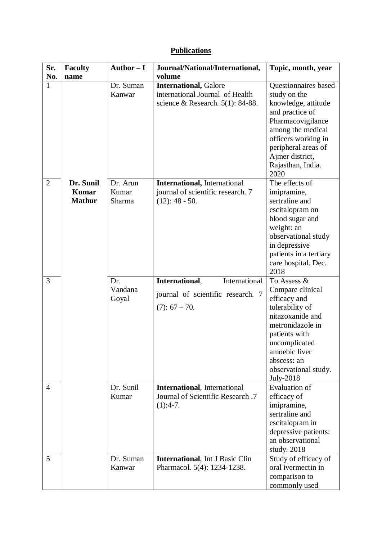## **Publications**

| Sr.            | <b>Faculty</b>                             | Author $-I$                 | Journal/National/International,                                                                        | Topic, month, year                                                                                                                                                                                                            |
|----------------|--------------------------------------------|-----------------------------|--------------------------------------------------------------------------------------------------------|-------------------------------------------------------------------------------------------------------------------------------------------------------------------------------------------------------------------------------|
| No.            | name                                       |                             | volume                                                                                                 |                                                                                                                                                                                                                               |
| 1              |                                            | Dr. Suman<br>Kanwar         | <b>International, Galore</b><br>international Journal of Health<br>science & Research. $5(1)$ : 84-88. | <b>Questionnaires</b> based<br>study on the<br>knowledge, attitude<br>and practice of<br>Pharmacovigilance<br>among the medical<br>officers working in<br>peripheral areas of<br>Ajmer district,<br>Rajasthan, India.<br>2020 |
| $\overline{2}$ | Dr. Sunil<br><b>Kumar</b><br><b>Mathur</b> | Dr. Arun<br>Kumar<br>Sharma | <b>International</b> , International<br>journal of scientific research. 7<br>$(12): 48 - 50.$          | The effects of<br>imipramine,<br>sertraline and<br>escitalopram on<br>blood sugar and<br>weight: an<br>observational study<br>in depressive<br>patients in a tertiary<br>care hospital. Dec.<br>2018                          |
| 3              |                                            | Dr.<br>Vandana<br>Goyal     | International<br>International,<br>journal of scientific research. 7<br>$(7): 67 - 70.$                | To Assess &<br>Compare clinical<br>efficacy and<br>tolerability of<br>nitazoxanide and<br>metronidazole in<br>patients with<br>uncomplicated<br>amoebic liver<br>abscess: an<br>observational study.<br>July-2018             |
| 4              |                                            | Dr. Sunil<br>Kumar          | <b>International</b> , International<br>Journal of Scientific Research .7<br>$(1):4-7.$                | Evaluation of<br>efficacy of<br>imipramine,<br>sertraline and<br>escitalopram in<br>depressive patients:<br>an observational<br>study. 2018                                                                                   |
| 5              |                                            | Dr. Suman<br>Kanwar         | <b>International</b> , Int J Basic Clin<br>Pharmacol. 5(4): 1234-1238.                                 | Study of efficacy of<br>oral ivermectin in<br>comparison to<br>commonly used                                                                                                                                                  |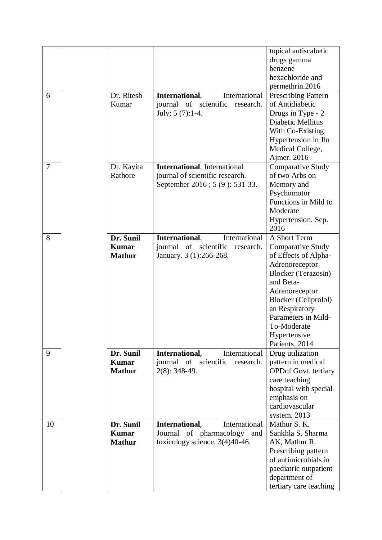|    |               |                                                          | topical antiscabetic                             |
|----|---------------|----------------------------------------------------------|--------------------------------------------------|
|    |               |                                                          | drugs gamma                                      |
|    |               |                                                          | benzene                                          |
|    |               |                                                          | hexachloride and                                 |
|    |               |                                                          | permethrin.2016                                  |
| 6  | Dr. Ritesh    | International,<br>International                          | <b>Prescribing Pattern</b>                       |
|    | Kumar         | journal of scientific<br>research.                       | of Antidiabetic                                  |
|    |               | July; 5 (7):1-4.                                         | Drugs in Type - 2                                |
|    |               |                                                          | Diabetic Mellitus                                |
|    |               |                                                          | With Co-Existing                                 |
|    |               |                                                          | Hypertension in Jln                              |
|    |               |                                                          | Medical College,                                 |
|    |               |                                                          | Ajmer. 2016                                      |
| 7  | Dr. Kavita    | <b>International</b> , International                     | <b>Comparative Study</b>                         |
|    | Rathore       | journal of scientific research.                          | of two Arbs on                                   |
|    |               | September 2016 ; 5 (9): 531-33.                          | Memory and                                       |
|    |               |                                                          | Psychomotor                                      |
|    |               |                                                          | Functions in Mild to                             |
|    |               |                                                          | Moderate                                         |
|    |               |                                                          | Hypertension. Sep.                               |
|    | Dr. Sunil     |                                                          | 2016                                             |
| 8  | <b>Kumar</b>  | International,<br>International<br>journal of scientific | A Short Term                                     |
|    | <b>Mathur</b> | research.<br>January. 3 (1):266-268.                     | <b>Comparative Study</b><br>of Effects of Alpha- |
|    |               |                                                          | Adrenoreceptor                                   |
|    |               |                                                          | <b>Blocker</b> (Terazosin)                       |
|    |               |                                                          | and Beta-                                        |
|    |               |                                                          | Adrenoreceptor                                   |
|    |               |                                                          | <b>Blocker</b> (Celiprolol)                      |
|    |               |                                                          | an Respiratory                                   |
|    |               |                                                          | Parameters in Mild-                              |
|    |               |                                                          | To-Moderate                                      |
|    |               |                                                          | Hypertensive                                     |
|    |               |                                                          | Patients. 2014                                   |
| 9  | Dr. Sunil     | International,<br>International                          | Drug utilization                                 |
|    | <b>Kumar</b>  | journal of scientific<br>research.                       | pattern in medical                               |
|    | <b>Mathur</b> | 2(8): 348-49.                                            | <b>OPDof Govt.</b> tertiary                      |
|    |               |                                                          | care teaching                                    |
|    |               |                                                          | hospital with special                            |
|    |               |                                                          | emphasis on                                      |
|    |               |                                                          | cardiovascular                                   |
|    |               |                                                          | system. 2013                                     |
| 10 | Dr. Sunil     | International,<br>International                          | Mathur S. K.                                     |
|    | <b>Kumar</b>  | Journal of pharmacology and                              | Sankhla S, Sharma                                |
|    | <b>Mathur</b> | toxicology science. $3(4)40-46$ .                        | AK, Mathur R.                                    |
|    |               |                                                          | Prescribing pattern                              |
|    |               |                                                          | of antimicrobials in                             |
|    |               |                                                          | paediatric outpatient                            |
|    |               |                                                          | department of                                    |
|    |               |                                                          | tertiary care teaching                           |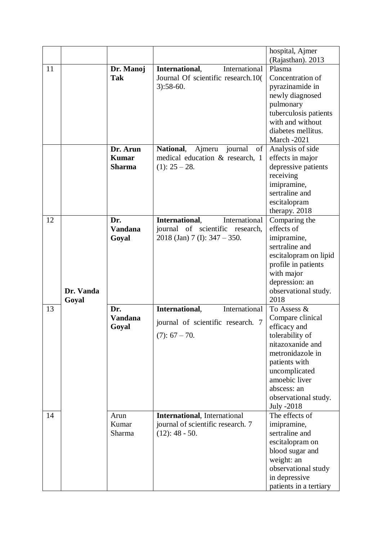|    |           |                |                                      | hospital, Ajmer        |
|----|-----------|----------------|--------------------------------------|------------------------|
|    |           |                |                                      | (Rajasthan). 2013      |
| 11 |           | Dr. Manoj      | International,<br>International      | Plasma                 |
|    |           | <b>Tak</b>     | Journal Of scientific research.10(   | Concentration of       |
|    |           |                | $3):58-60.$                          | pyrazinamide in        |
|    |           |                |                                      | newly diagnosed        |
|    |           |                |                                      | pulmonary              |
|    |           |                |                                      | tuberculosis patients  |
|    |           |                |                                      | with and without       |
|    |           |                |                                      | diabetes mellitus.     |
|    |           |                |                                      | <b>March -2021</b>     |
|    |           | Dr. Arun       | National, Ajmeru journal<br>of       | Analysis of side       |
|    |           | <b>Kumar</b>   | medical education & research, 1      | effects in major       |
|    |           | <b>Sharma</b>  | $(1): 25 - 28.$                      | depressive patients    |
|    |           |                |                                      | receiving              |
|    |           |                |                                      | imipramine,            |
|    |           |                |                                      | sertraline and         |
|    |           |                |                                      | escitalopram           |
|    |           |                |                                      | therapy. 2018          |
| 12 |           | Dr.            | International,<br>International      | Comparing the          |
|    |           | <b>Vandana</b> | journal of scientific research,      | effects of             |
|    |           | Goyal          | $2018$ (Jan) 7 (I): $347 - 350$ .    | imipramine,            |
|    |           |                |                                      | sertraline and         |
|    |           |                |                                      | escitalopram on lipid  |
|    |           |                |                                      | profile in patients    |
|    |           |                |                                      | with major             |
|    |           |                |                                      | depression: an         |
|    | Dr. Vanda |                |                                      | observational study.   |
|    | Goyal     |                |                                      | 2018                   |
| 13 |           | Dr.            | International,<br>International      | To Assess &            |
|    |           | <b>Vandana</b> | journal of scientific research. 7    | Compare clinical       |
|    |           | Goyal          |                                      | efficacy and           |
|    |           |                | $(7): 67 - 70.$                      | tolerability of        |
|    |           |                |                                      | nitazoxanide and       |
|    |           |                |                                      | metronidazole in       |
|    |           |                |                                      | patients with          |
|    |           |                |                                      | uncomplicated          |
|    |           |                |                                      | amoebic liver          |
|    |           |                |                                      | abscess: an            |
|    |           |                |                                      | observational study.   |
|    |           |                |                                      | July -2018             |
| 14 |           | Arun           | <b>International</b> , International | The effects of         |
|    |           | Kumar          | journal of scientific research. 7    | imipramine,            |
|    |           | Sharma         | $(12): 48 - 50.$                     | sertraline and         |
|    |           |                |                                      | escitalopram on        |
|    |           |                |                                      | blood sugar and        |
|    |           |                |                                      | weight: an             |
|    |           |                |                                      | observational study    |
|    |           |                |                                      | in depressive          |
|    |           |                |                                      | patients in a tertiary |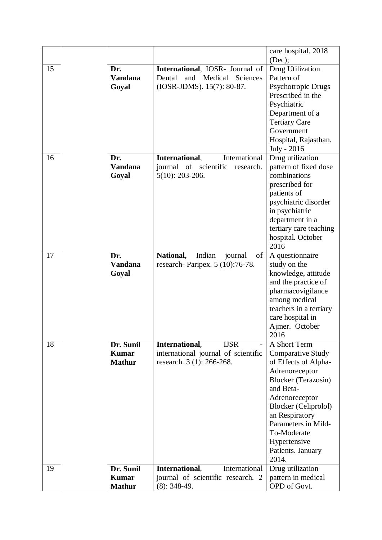|    |                                            |                                                                                                       | care hospital. 2018<br>(Dec);                                                                                                                                                                                                                                                        |
|----|--------------------------------------------|-------------------------------------------------------------------------------------------------------|--------------------------------------------------------------------------------------------------------------------------------------------------------------------------------------------------------------------------------------------------------------------------------------|
| 15 | Dr.<br><b>Vandana</b><br>Goyal             | International, IOSR- Journal of<br>Dental<br>and<br>Medical<br>Sciences<br>(IOSR-JDMS). 15(7): 80-87. | Drug Utilization<br>Pattern of<br>Psychotropic Drugs<br>Prescribed in the<br>Psychiatric<br>Department of a<br><b>Tertiary Care</b>                                                                                                                                                  |
|    |                                            |                                                                                                       | Government<br>Hospital, Rajasthan.<br>July - 2016                                                                                                                                                                                                                                    |
| 16 | Dr.<br><b>Vandana</b><br>Goyal             | International,<br>International<br>journal of scientific<br>research.<br>$5(10): 203-206.$            | Drug utilization<br>pattern of fixed dose<br>combinations<br>prescribed for<br>patients of<br>psychiatric disorder<br>in psychiatric<br>department in a<br>tertiary care teaching<br>hospital. October<br>2016                                                                       |
| 17 | Dr.<br><b>Vandana</b><br>Goyal             | Indian<br>National,<br>journal<br>of<br>research- Paripex. 5 (10):76-78.                              | A questionnaire<br>study on the<br>knowledge, attitude<br>and the practice of<br>pharmacovigilance<br>among medical<br>teachers in a tertiary<br>care hospital in<br>Ajmer. October<br>2016                                                                                          |
| 18 | Dr. Sunil<br><b>Kumar</b><br><b>Mathur</b> | International,<br><b>IJSR</b><br>international journal of scientific<br>research. 3 (1): 266-268.     | A Short Term<br><b>Comparative Study</b><br>of Effects of Alpha-<br>Adrenoreceptor<br><b>Blocker</b> (Terazosin)<br>and Beta-<br>Adrenoreceptor<br><b>Blocker</b> (Celiprolol)<br>an Respiratory<br>Parameters in Mild-<br>To-Moderate<br>Hypertensive<br>Patients. January<br>2014. |
| 19 | Dr. Sunil                                  | International,<br>International                                                                       | Drug utilization                                                                                                                                                                                                                                                                     |
|    | <b>Kumar</b>                               | journal of scientific research. 2                                                                     | pattern in medical                                                                                                                                                                                                                                                                   |
|    | <b>Mathur</b>                              | $(8): 348-49.$                                                                                        | OPD of Govt.                                                                                                                                                                                                                                                                         |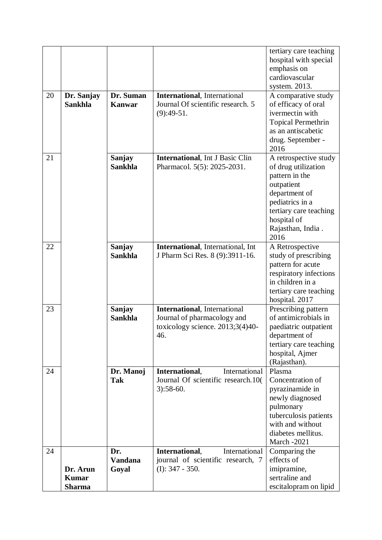|    |                              |                            |                                                                                                                | tertiary care teaching<br>hospital with special<br>emphasis on                                                                                                         |
|----|------------------------------|----------------------------|----------------------------------------------------------------------------------------------------------------|------------------------------------------------------------------------------------------------------------------------------------------------------------------------|
|    |                              |                            |                                                                                                                | cardiovascular                                                                                                                                                         |
|    |                              |                            |                                                                                                                | system. 2013.                                                                                                                                                          |
| 20 | Dr. Sanjay<br><b>Sankhla</b> | Dr. Suman<br><b>Kanwar</b> | <b>International</b> , International<br>Journal Of scientific research. 5<br>$(9):49-51.$                      | A comparative study<br>of efficacy of oral<br>ivermectin with<br><b>Topical Permethrin</b><br>as an antiscabetic<br>drug. September -<br>2016                          |
| 21 |                              | Sanjay<br><b>Sankhla</b>   | <b>International</b> , Int J Basic Clin<br>Pharmacol. 5(5): 2025-2031.                                         | A retrospective study<br>of drug utilization                                                                                                                           |
|    |                              |                            |                                                                                                                | pattern in the<br>outpatient<br>department of<br>pediatrics in a<br>tertiary care teaching<br>hospital of<br>Rajasthan, India.                                         |
|    |                              |                            |                                                                                                                | 2016                                                                                                                                                                   |
| 22 |                              | Sanjay<br><b>Sankhla</b>   | International, International, Int<br>J Pharm Sci Res. 8 (9):3911-16.                                           | A Retrospective<br>study of prescribing<br>pattern for acute<br>respiratory infections<br>in children in a<br>tertiary care teaching<br>hospital. 2017                 |
| 23 |                              | Sanjay<br><b>Sankhla</b>   | <b>International</b> , International<br>Journal of pharmacology and<br>toxicology science. 2013;3(4)40-<br>46. | Prescribing pattern<br>of antimicrobials in<br>paediatric outpatient<br>department of<br>tertiary care teaching<br>hospital, Ajmer<br>(Rajasthan).                     |
| 24 |                              | Dr. Manoj<br><b>Tak</b>    | International,<br>International<br>Journal Of scientific research.10(<br>$3):58-60.$                           | Plasma<br>Concentration of<br>pyrazinamide in<br>newly diagnosed<br>pulmonary<br>tuberculosis patients<br>with and without<br>diabetes mellitus.<br><b>March -2021</b> |
| 24 |                              | Dr.                        | International,<br>International                                                                                | Comparing the                                                                                                                                                          |
|    |                              | <b>Vandana</b>             | journal of scientific research, 7                                                                              | effects of                                                                                                                                                             |
|    | Dr. Arun                     | Goyal                      | $(I): 347 - 350.$                                                                                              | imipramine,                                                                                                                                                            |
|    | <b>Kumar</b>                 |                            |                                                                                                                | sertraline and                                                                                                                                                         |
|    | <b>Sharma</b>                |                            |                                                                                                                | escitalopram on lipid                                                                                                                                                  |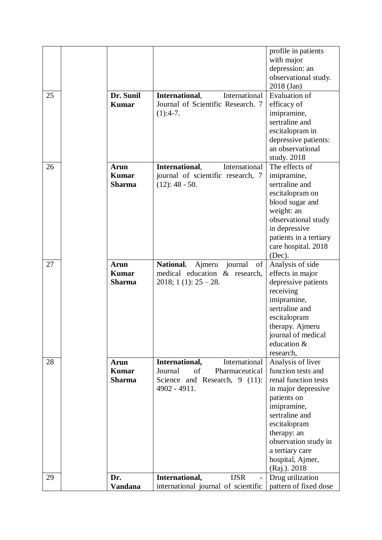|    |                |                                             | profile in patients    |
|----|----------------|---------------------------------------------|------------------------|
|    |                |                                             | with major             |
|    |                |                                             | depression: an         |
|    |                |                                             | observational study.   |
|    |                |                                             | 2018 (Jan)             |
| 25 | Dr. Sunil      | International,<br>International             | <b>Evaluation of</b>   |
|    | <b>Kumar</b>   | Journal of Scientific Research. 7           | efficacy of            |
|    |                | $(1):4-7.$                                  | imipramine,            |
|    |                |                                             | sertraline and         |
|    |                |                                             | escitalopram in        |
|    |                |                                             | depressive patients:   |
|    |                |                                             | an observational       |
|    |                |                                             | study. $2018$          |
| 26 | <b>Arun</b>    | International,<br>International             | The effects of         |
|    | <b>Kumar</b>   | journal of scientific research, 7           | imipramine,            |
|    | <b>Sharma</b>  | $(12): 48 - 50.$                            | sertraline and         |
|    |                |                                             | escitalopram on        |
|    |                |                                             | blood sugar and        |
|    |                |                                             | weight: an             |
|    |                |                                             | observational study    |
|    |                |                                             | in depressive          |
|    |                |                                             | patients in a tertiary |
|    |                |                                             | care hospital. 2018    |
|    |                |                                             | (Dec).                 |
| 27 | <b>Arun</b>    | <b>National.</b><br>of<br>journal<br>Ajmeru | Analysis of side       |
|    | <b>Kumar</b>   | medical education & research,               | effects in major       |
|    | <b>Sharma</b>  | $2018$ ; 1 (1): $25 - 28$ .                 | depressive patients    |
|    |                |                                             | receiving              |
|    |                |                                             | imipramine,            |
|    |                |                                             | sertraline and         |
|    |                |                                             | escitalopram           |
|    |                |                                             | therapy. Ajmeru        |
|    |                |                                             | journal of medical     |
|    |                |                                             | education &            |
|    |                |                                             | research,              |
| 28 | Arun           | International,<br>International             | Analysis of liver      |
|    | <b>Kumar</b>   | Journal<br>Pharmaceutical<br>of             | function tests and     |
|    | <b>Sharma</b>  | Science and Research, 9 (11):               | renal function tests   |
|    |                | 4902 - 4911.                                | in major depressive    |
|    |                |                                             | patients on            |
|    |                |                                             | imipramine,            |
|    |                |                                             | sertraline and         |
|    |                |                                             | escitalopram           |
|    |                |                                             | therapy: an            |
|    |                |                                             | observation study in   |
|    |                |                                             | a tertiary care        |
|    |                |                                             | hospital, Ajmer,       |
|    |                |                                             | (Raj.). 2018           |
| 29 | Dr.            | International,<br><b>IJSR</b>               | Drug utilization       |
|    | <b>Vandana</b> | international journal of scientific         | pattern of fixed dose  |
|    |                |                                             |                        |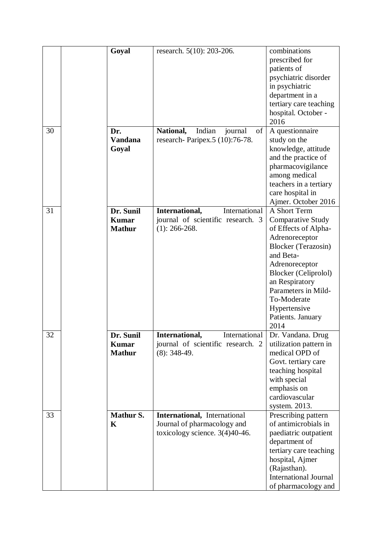|    |             | Goyal                                      | research. 5(10): 203-206.                                                                        | combinations<br>prescribed for<br>patients of<br>psychiatric disorder<br>in psychiatric<br>department in a<br>tertiary care teaching<br>hospital. October -                                                                                                                         |
|----|-------------|--------------------------------------------|--------------------------------------------------------------------------------------------------|-------------------------------------------------------------------------------------------------------------------------------------------------------------------------------------------------------------------------------------------------------------------------------------|
| 30 |             | Dr.<br><b>Vandana</b><br>Goyal             | National,<br>Indian<br>of<br>journal<br>research- Paripex.5 (10):76-78.                          | 2016<br>A questionnaire<br>study on the<br>knowledge, attitude<br>and the practice of<br>pharmacovigilance<br>among medical<br>teachers in a tertiary<br>care hospital in<br>Ajmer. October 2016                                                                                    |
| 31 |             | Dr. Sunil<br><b>Kumar</b><br><b>Mathur</b> | International,<br>International<br>journal of scientific research. 3<br>$(1)$ : 266-268.         | A Short Term<br><b>Comparative Study</b><br>of Effects of Alpha-<br>Adrenoreceptor<br><b>Blocker</b> (Terazosin)<br>and Beta-<br>Adrenoreceptor<br><b>Blocker</b> (Celiprolol)<br>an Respiratory<br>Parameters in Mild-<br>To-Moderate<br>Hypertensive<br>Patients. January<br>2014 |
| 32 |             | Dr. Sunil<br><b>Kumar</b><br><b>Mathur</b> | International,<br>International<br>journal of scientific research. 2<br>$(8)$ : 348-49.          | Dr. Vandana. Drug<br>utilization pattern in<br>medical OPD of<br>Govt. tertiary care<br>teaching hospital<br>with special<br>emphasis on<br>cardiovascular<br>system. 2013.                                                                                                         |
| 33 | $\mathbf K$ | <b>Mathur S.</b>                           | International, International<br>Journal of pharmacology and<br>toxicology science. $3(4)40-46$ . | Prescribing pattern<br>of antimicrobials in<br>paediatric outpatient<br>department of<br>tertiary care teaching<br>hospital, Ajmer<br>(Rajasthan).<br><b>International Journal</b><br>of pharmacology and                                                                           |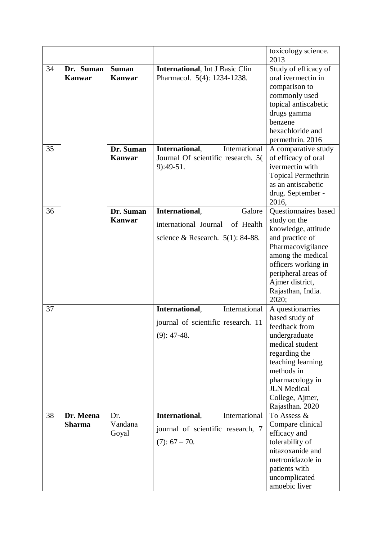|    |                            |                |                                         | toxicology science.<br>2013                  |
|----|----------------------------|----------------|-----------------------------------------|----------------------------------------------|
| 34 | Dr. Suman                  | <b>Suman</b>   | <b>International</b> , Int J Basic Clin | Study of efficacy of<br>oral ivermectin in   |
|    | <b>Kanwar</b>              | <b>Kanwar</b>  | Pharmacol. 5(4): 1234-1238.             | comparison to                                |
|    |                            |                |                                         | commonly used                                |
|    |                            |                |                                         | topical antiscabetic                         |
|    |                            |                |                                         | drugs gamma                                  |
|    |                            |                |                                         | benzene                                      |
|    |                            |                |                                         | hexachloride and                             |
|    |                            |                |                                         | permethrin. 2016                             |
| 35 |                            | Dr. Suman      | International,<br>International         | A comparative study                          |
|    |                            | <b>Kanwar</b>  | Journal Of scientific research. 5(      | of efficacy of oral                          |
|    |                            |                | $9:49-51.$                              | ivermectin with<br><b>Topical Permethrin</b> |
|    |                            |                |                                         | as an antiscabetic                           |
|    |                            |                |                                         | drug. September -                            |
|    |                            |                |                                         | 2016,                                        |
| 36 |                            | Dr. Suman      | International,<br>Galore                | Questionnaires based                         |
|    |                            | <b>Kanwar</b>  | international Journal<br>of Health      | study on the                                 |
|    |                            |                |                                         | knowledge, attitude                          |
|    |                            |                | science & Research. $5(1)$ : 84-88.     | and practice of                              |
|    |                            |                |                                         | Pharmacovigilance                            |
|    |                            |                |                                         | among the medical<br>officers working in     |
|    |                            |                |                                         | peripheral areas of                          |
|    |                            |                |                                         | Ajmer district,                              |
|    |                            |                |                                         | Rajasthan, India.                            |
|    |                            |                |                                         | 2020;                                        |
| 37 |                            |                | International,<br>International         | A questionarries                             |
|    |                            |                | journal of scientific research. 11      | based study of                               |
|    |                            |                | $(9): 47-48.$                           | feedback from                                |
|    |                            |                |                                         | undergraduate<br>medical student             |
|    |                            |                |                                         | regarding the                                |
|    |                            |                |                                         | teaching learning                            |
|    |                            |                |                                         | methods in                                   |
|    |                            |                |                                         | pharmacology in                              |
|    |                            |                |                                         | <b>JLN</b> Medical                           |
|    |                            |                |                                         | College, Ajmer,                              |
|    |                            |                |                                         | Rajasthan. 2020                              |
| 38 | Dr. Meena<br><b>Sharma</b> | Dr.<br>Vandana | International,<br>International         | To Assess &<br>Compare clinical              |
|    |                            | Goyal          | journal of scientific research, 7       | efficacy and                                 |
|    |                            |                | $(7): 67 - 70.$                         | tolerability of                              |
|    |                            |                |                                         | nitazoxanide and                             |
|    |                            |                |                                         | metronidazole in                             |
|    |                            |                |                                         | patients with                                |
|    |                            |                |                                         | uncomplicated                                |
|    |                            |                |                                         | amoebic liver                                |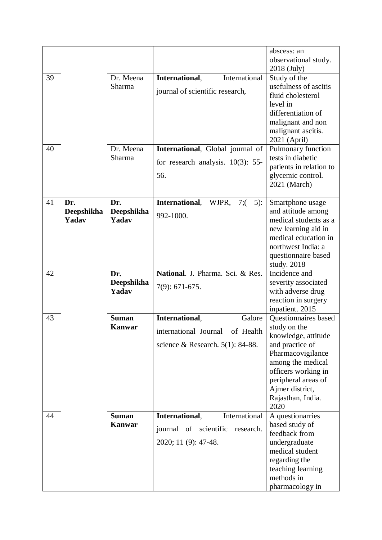|    |            |               |                                        | abscess: an                            |
|----|------------|---------------|----------------------------------------|----------------------------------------|
|    |            |               |                                        | observational study.                   |
|    |            |               |                                        | 2018 (July)                            |
| 39 |            | Dr. Meena     | International<br>International,        | Study of the                           |
|    |            | Sharma        | journal of scientific research,        | usefulness of ascitis                  |
|    |            |               |                                        | fluid cholesterol                      |
|    |            |               |                                        | level in                               |
|    |            |               |                                        | differentiation of                     |
|    |            |               |                                        | malignant and non                      |
|    |            |               |                                        | malignant ascitis.                     |
|    |            |               |                                        | 2021 (April)                           |
| 40 |            | Dr. Meena     | International, Global journal of       | Pulmonary function                     |
|    |            | Sharma        | for research analysis. $10(3)$ : 55-   | tests in diabetic                      |
|    |            |               |                                        | patients in relation to                |
|    |            |               | 56.                                    | glycemic control.                      |
|    |            |               |                                        | 2021 (March)                           |
|    |            |               |                                        |                                        |
| 41 | Dr.        | Dr.           | International,<br>WJPR,<br>7:<br>$5$ : | Smartphone usage                       |
|    | Deepshikha | Deepshikha    | 992-1000.                              | and attitude among                     |
|    | Yadav      | Yadav         |                                        | medical students as a                  |
|    |            |               |                                        | new learning aid in                    |
|    |            |               |                                        | medical education in                   |
|    |            |               |                                        | northwest India: a                     |
|    |            |               |                                        | questionnaire based                    |
|    |            |               |                                        | study. 2018                            |
| 42 |            | Dr.           | National. J. Pharma. Sci. & Res.       | Incidence and                          |
|    |            | Deepshikha    | $7(9): 671-675.$                       | severity associated                    |
|    |            | Yadav         |                                        | with adverse drug                      |
|    |            |               |                                        | reaction in surgery                    |
|    |            |               |                                        | inpatient. 2015                        |
| 43 |            | <b>Suman</b>  | International,<br>Galore               | Questionnaires based                   |
|    |            | <b>Kanwar</b> | international Journal<br>of Health     | study on the<br>knowledge, attitude    |
|    |            |               | science & Research. $5(1)$ : 84-88.    |                                        |
|    |            |               |                                        | and practice of                        |
|    |            |               |                                        | Pharmacovigilance<br>among the medical |
|    |            |               |                                        | officers working in                    |
|    |            |               |                                        | peripheral areas of                    |
|    |            |               |                                        | Ajmer district,                        |
|    |            |               |                                        | Rajasthan, India.                      |
|    |            |               |                                        | 2020                                   |
| 44 |            | <b>Suman</b>  | International,<br>International        | A questionarries                       |
|    |            | Kanwar        |                                        | based study of                         |
|    |            |               | journal of scientific<br>research.     | feedback from                          |
|    |            |               | 2020; 11 (9): 47-48.                   | undergraduate                          |
|    |            |               |                                        | medical student                        |
|    |            |               |                                        | regarding the                          |
|    |            |               |                                        | teaching learning                      |
|    |            |               |                                        | methods in                             |
|    |            |               |                                        | pharmacology in                        |